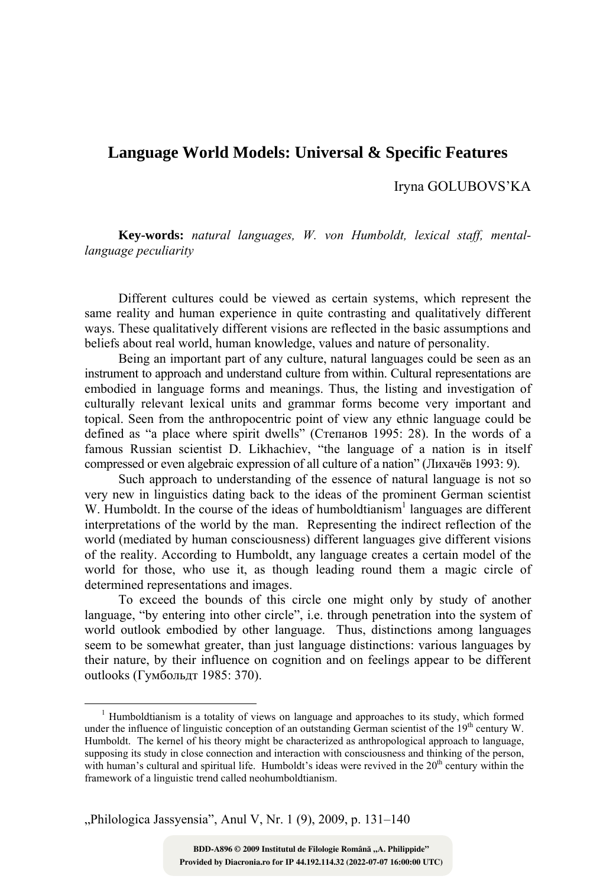## **Language World Models: Universal & Specific Features**

Iryna GOLUBOVS'KA

**Key-words:** *natural languages, W. von Humboldt, lexical staff, mentallanguage peculiarity*

Different cultures could be viewed as certain systems, which represent the same reality and human experience in quite contrasting and qualitatively different ways. These qualitatively different visions are reflected in the basic assumptions and beliefs about real world, human knowledge, values and nature of personality.

Being an important part of any culture, natural languages could be seen as an instrument to approach and understand culture from within. Cultural representations are embodied in language forms and meanings. Thus, the listing and investigation of culturally relevant lexical units and grammar forms become very important and topical. Seen from the anthropocentric point of view any ethnic language could be defined as "a place where spirit dwells" (Степанов 1995: 28). In the words of a famous Russian scientist D. Likhachiev, "the language of a nation is in itself compressed or even algebraic expression of all culture of a nation" (Лихачёв 1993: 9).

Such approach to understanding of the essence of natural language is not so very new in linguistics dating back to the ideas of the prominent German scientist W. Humboldt. In the course of the ideas of humboldtianism<sup>1</sup> languages are different interpretations of the world by the man. Representing the indirect reflection of the world (mediated by human consciousness) different languages give different visions of the reality. According to Humboldt, any language creates a certain model of the world for those, who use it, as though leading round them a magic circle of determined representations and images.

To exceed the bounds of this circle one might only by study of another language, "by entering into other circle", i.e. through penetration into the system of world outlook embodied by other language. Thus, distinctions among languages seem to be somewhat greater, than just language distinctions: various languages by their nature, by their influence on cognition and on feelings appear to be different outlooks (Гумбольдт 1985: 370).

"Philologica Jassyensia", Anul V, Nr. 1 (9), 2009, p. 131-140

 $\frac{1}{1}$ <sup>1</sup> Humboldtianism is a totality of views on language and approaches to its study, which formed under the influence of linguistic conception of an outstanding German scientist of the 19<sup>th</sup> century W. Humboldt. The kernel of his theory might be characterized as anthropological approach to language, supposing its study in close connection and interaction with consciousness and thinking of the person, with human's cultural and spiritual life. Humboldt's ideas were revived in the  $20<sup>th</sup>$  century within the framework of a linguistic trend called neohumboldtianism.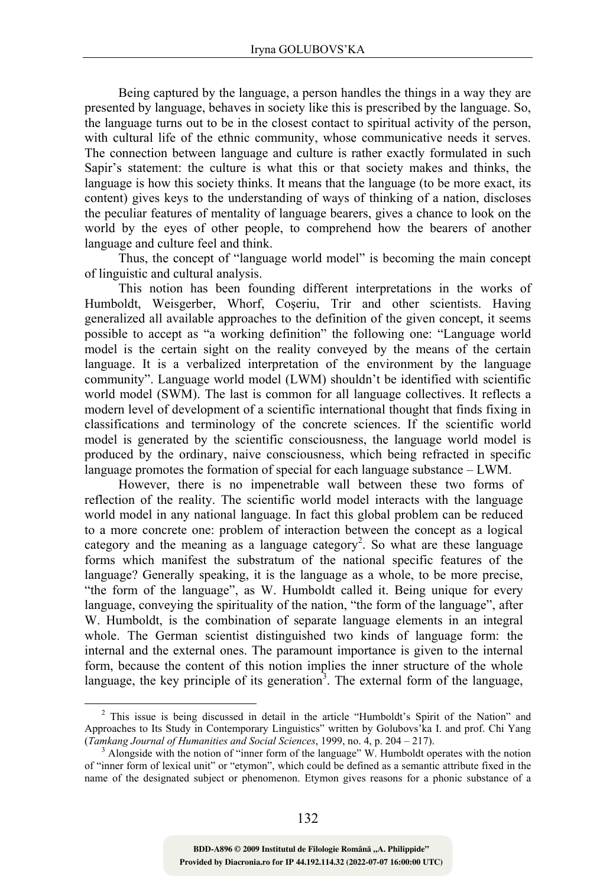Being captured by the language, a person handles the things in a way they are presented by language, behaves in society like this is prescribed by the language. So, the language turns out to be in the closest contact to spiritual activity of the person, with cultural life of the ethnic community, whose communicative needs it serves. The connection between language and culture is rather exactly formulated in such Sapir's statement: the culture is what this or that society makes and thinks, the language is how this society thinks. It means that the language (to be more exact, its content) gives keys to the understanding of ways of thinking of a nation, discloses the peculiar features of mentality of language bearers, gives a chance to look on the world by the eyes of other people, to comprehend how the bearers of another language and culture feel and think.

Thus, the concept of "language world model" is becoming the main concept of linguistic and cultural analysis.

This notion has been founding different interpretations in the works of Humboldt, Weisgerber, Whorf, Coşeriu, Trir and other scientists. Having generalized all available approaches to the definition of the given concept, it seems possible to accept as "a working definition" the following one: "Language world model is the certain sight on the reality conveyed by the means of the certain language. It is a verbalized interpretation of the environment by the language community". Language world model (LWM) shouldn't be identified with scientific world model (SWM). The last is common for all language collectives. It reflects a modern level of development of a scientific international thought that finds fixing in classifications and terminology of the concrete sciences. If the scientific world model is generated by the scientific consciousness, the language world model is produced by the ordinary, naive consciousness, which being refracted in specific language promotes the formation of special for each language substance – LWM.

However, there is no impenetrable wall between these two forms of reflection of the reality. The scientific world model interacts with the language world model in any national language. In fact this global problem can be reduced to a more concrete one: problem of interaction between the concept as a logical category and the meaning as a language category<sup>2</sup>. So what are these language forms which manifest the substratum of the national specific features of the language? Generally speaking, it is the language as a whole, to be more precise, "the form of the language", as W. Humboldt called it. Being unique for every language, conveying the spirituality of the nation, "the form of the language", after W. Humboldt, is the combination of separate language elements in an integral whole. The German scientist distinguished two kinds of language form: the internal and the external ones. The paramount importance is given to the internal form, because the content of this notion implies the inner structure of the whole language, the key principle of its generation<sup>3</sup>. The external form of the language,

 $\overline{2}$  $2$  This issue is being discussed in detail in the article "Humboldt's Spirit of the Nation" and Approaches to Its Study in Contemporary Linguistics" written by Golubovs'ka I. and prof. Chi Yang (*Tamkang Journal of Humanities and Social Sciences*, 1999, no. 4, p. 204 – 217). 3

Alongside with the notion of "inner form of the language" W. Humboldt operates with the notion of "inner form of lexical unit" or "etymon", which could be defined as a semantic attribute fixed in the name of the designated subject or phenomenon. Etymon gives reasons for a phonic substance of a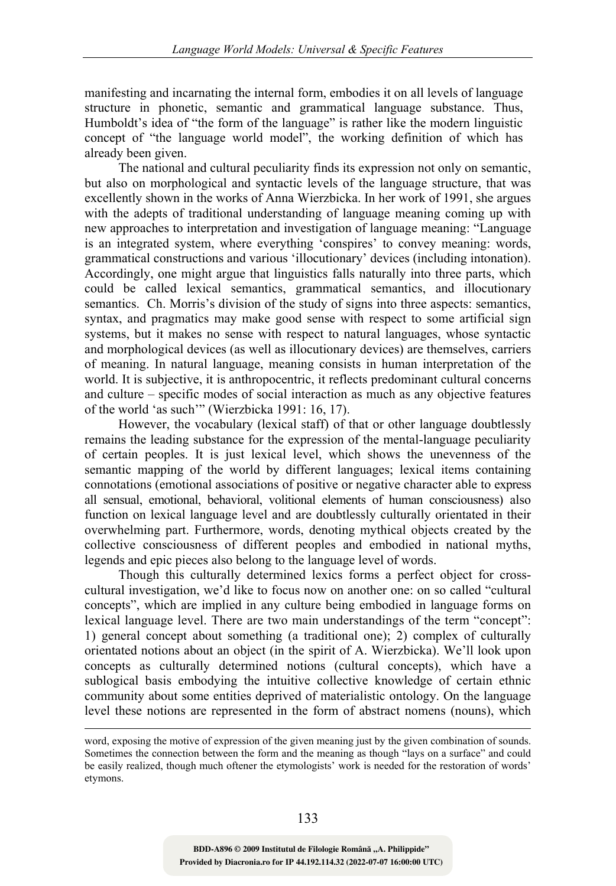manifesting and incarnating the internal form, embodies it on all levels of language structure in phonetic, semantic and grammatical language substance. Thus, Humboldt's idea of "the form of the language" is rather like the modern linguistic concept of "the language world model", the working definition of which has already been given.

The national and cultural peculiarity finds its expression not only on semantic, but also on morphological and syntactic levels of the language structure, that was excellently shown in the works of Anna Wierzbicka. In her work of 1991, she argues with the adepts of traditional understanding of language meaning coming up with new approaches to interpretation and investigation of language meaning: "Language is an integrated system, where everything 'conspires' to convey meaning: words, grammatical constructions and various 'illocutionary' devices (including intonation). Accordingly, one might argue that linguistics falls naturally into three parts, which could be called lexical semantics, grammatical semantics, and illocutionary semantics. Ch. Morris's division of the study of signs into three aspects: semantics, syntax, and pragmatics may make good sense with respect to some artificial sign systems, but it makes no sense with respect to natural languages, whose syntactic and morphological devices (as well as illocutionary devices) are themselves, carriers of meaning. In natural language, meaning consists in human interpretation of the world. It is subjective, it is anthropocentric, it reflects predominant cultural concerns and culture – specific modes of social interaction as much as any objective features of the world 'as such'" (Wierzbicka 1991: 16, 17).

However, the vocabulary (lexical staff) of that or other language doubtlessly remains the leading substance for the expression of the mental-language peculiarity of certain peoples. It is just lexical level, which shows the unevenness of the semantic mapping of the world by different languages; lexical items containing connotations (emotional associations of positive or negative character able to express all sensual, emotional, behavioral, volitional elements of human consciousness) also function on lexical language level and are doubtlessly culturally orientated in their overwhelming part. Furthermore, words, denoting mythical objects created by the collective consciousness of different peoples and embodied in national myths, legends and epic pieces also belong to the language level of words.

Though this culturally determined lexics forms a perfect object for crosscultural investigation, we'd like to focus now on another one: on so called "cultural concepts", which are implied in any culture being embodied in language forms on lexical language level. There are two main understandings of the term "concept": 1) general concept about something (a traditional one); 2) complex of culturally orientated notions about an object (in the spirit of A. Wierzbicka). We'll look upon concepts as culturally determined notions (cultural concepts), which have a sublogical basis embodying the intuitive collective knowledge of certain ethnic community about some entities deprived of materialistic ontology. On the language level these notions are represented in the form of abstract nomens (nouns), which

 $\overline{a}$ 

word, exposing the motive of expression of the given meaning just by the given combination of sounds. Sometimes the connection between the form and the meaning as though "lays on a surface" and could be easily realized, though much oftener the etymologists' work is needed for the restoration of words' etymons.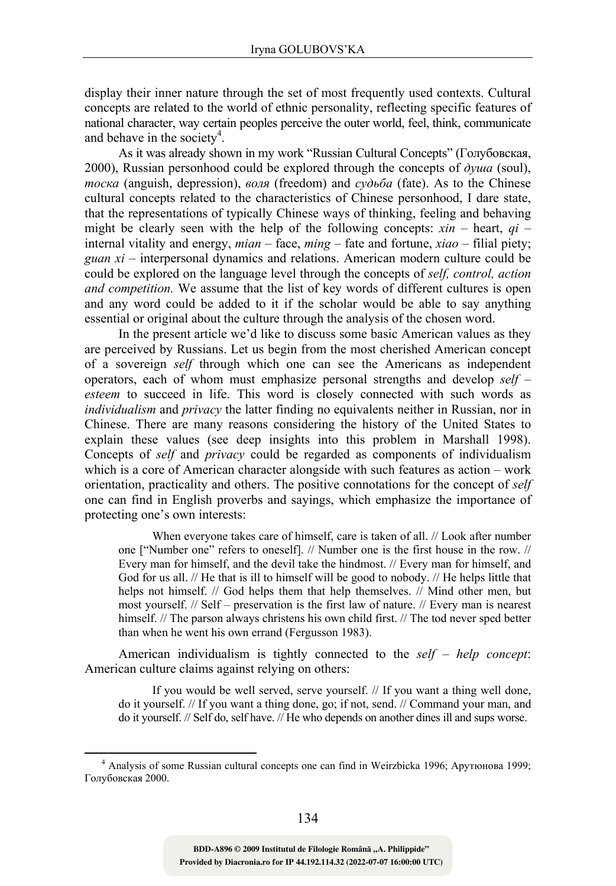display their inner nature through the set of most frequently used contexts. Cultural concepts are related to the world of ethnic personality, reflecting specific features of national character, way certain peoples perceive the outer world, feel, think, communicate and behave in the society<sup>4</sup>.

As it was already shown in my work "Russian Cultural Concepts" (Голубовская, 2000), Russian personhood could be explored through the concepts of *душа* (soul), *тоска* (anguish, depression), *воля* (freedom) and *судьба* (fate). As to the Chinese cultural concepts related to the characteristics of Chinese personhood, I dare state, that the representations of typically Chinese ways of thinking, feeling and behaving might be clearly seen with the help of the following concepts:  $xin$  – heart,  $qi$  – internal vitality and energy, *mian* – face, *ming* – fate and fortune, *xiao* – filial piety; *guan xi* – interpersonal dynamics and relations. American modern culture could be could be explored on the language level through the concepts of *self, control, action and competition.* We assume that the list of key words of different cultures is open and any word could be added to it if the scholar would be able to say anything essential or original about the culture through the analysis of the chosen word.

In the present article we'd like to discuss some basic American values as they are perceived by Russians. Let us begin from the most cherished American concept of a sovereign *self* through which one can see the Americans as independent operators, each of whom must emphasize personal strengths and develop *self – esteem* to succeed in life. This word is closely connected with such words as *individualism* and *privacy* the latter finding no equivalents neither in Russian, nor in Chinese. There are many reasons considering the history of the United States to explain these values (see deep insights into this problem in Marshall 1998). Concepts of *self* and *privacy* could be regarded as components of individualism which is a core of American character alongside with such features as action – work orientation, practicality and others. The positive connotations for the concept of *self* one can find in English proverbs and sayings, which emphasize the importance of protecting one's own interests:

When everyone takes care of himself, care is taken of all. // Look after number one ["Number one" refers to oneself]. // Number one is the first house in the row. // Every man for himself, and the devil take the hindmost. // Every man for himself, and God for us all. // He that is ill to himself will be good to nobody. // He helps little that helps not himself. // God helps them that help themselves. // Mind other men, but most yourself. // Self – preservation is the first law of nature. // Every man is nearest himself. // The parson always christens his own child first. // The tod never sped better than when he went his own errand (Fergusson 1983).

American individualism is tightly connected to the *self – help concept*: American culture claims against relying on others:

If you would be well served, serve yourself. // If you want a thing well done, do it yourself. // If you want a thing done, go; if not, send. // Command your man, and do it yourself. // Self do, self have. // He who depends on another dines ill and sups worse.

 $\frac{1}{4}$  Analysis of some Russian cultural concepts one can find in Weirzbicka 1996; Арутюнова 1999; Голубовская 2000.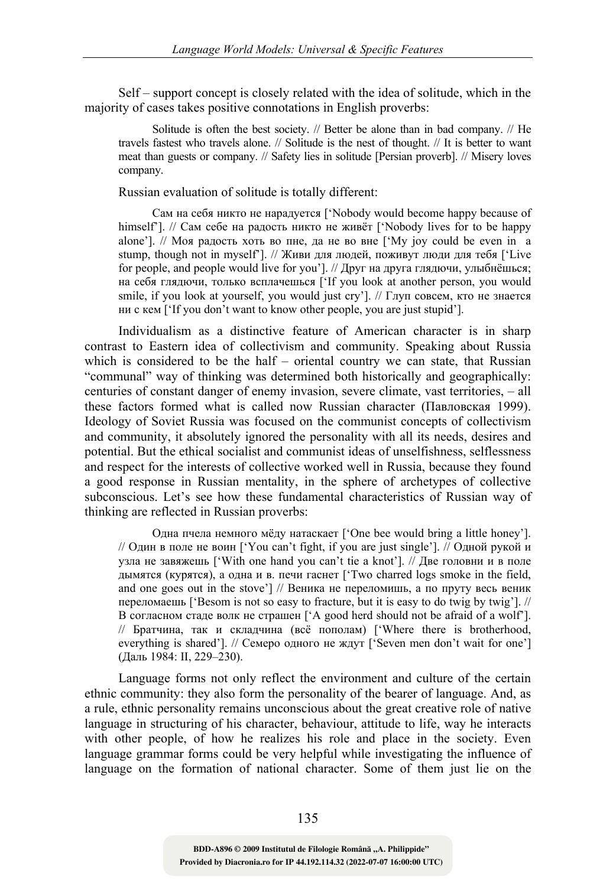Self – support concept is closely related with the idea of solitude, which in the majority of cases takes positive connotations in English proverbs:

Solitude is often the best society. // Better be alone than in bad company. // He travels fastest who travels alone. // Solitude is the nest of thought. // It is better to want meat than guests or company. // Safety lies in solitude [Persian proverb]. // Misery loves company.

Russian evaluation of solitude is totally different:

Сам на себя никто не нарадуется ['Nobody would become happy because of himself']. // Сам себе на радость никто не живёт ['Nobody lives for to be happy alone'].  $\#$  Моя радость хоть во пне, да не во вне  $\#$ Му joy could be even in a stump, though not in myself']. // Живи для людей, поживут люди для тебя ['Live for people, and people would live for you']. // Друг на друга глядючи, улыбнёшься; на себя глядючи, только всплачешься ['If you look at another person, you would smile, if you look at yourself, you would just cry']. // Глуп совсем, кто не знается ни с кем ['If you don't want to know other people, you are just stupid'].

Individualism as a distinctive feature of American character is in sharp contrast to Eastern idea of collectivism and community. Speaking about Russia which is considered to be the half – oriental country we can state, that Russian "communal" way of thinking was determined both historically and geographically: centuries of constant danger of enemy invasion, severe climate, vast territories, – all these factors formed what is called now Russian character (Павловская 1999). Ideology of Soviet Russia was focused on the communist concepts of collectivism and community, it absolutely ignored the personality with all its needs, desires and potential. But the ethical socialist and communist ideas of unselfishness, selflessness and respect for the interests of collective worked well in Russia, because they found a good response in Russian mentality, in the sphere of archetypes of collective subconscious. Let's see how these fundamental characteristics of Russian way of thinking are reflected in Russian proverbs:

Одна пчела немного мёду натаскает ['One bee would bring a little honey']. // Один в поле не воин ['You can't fight, if you are just single']. // Одной рукой и узла не завяжешь ['With one hand you can't tie a knot']. // Две головни и в поле дымятся (курятся), а одна и в. печи гаснет ['Two charred logs smoke in the field, and one goes out in the stove'] // Веника не переломишь, а по пруту весь веник переломаешь ['Besom is not so easy to fracture, but it is easy to do twig by twig']. // В согласном стаде волк не страшен ['A good herd should not be afraid of a wolf']. // Братчина, так и складчина (всё пополам) ['Where there is brotherhood, everything is shared']. // Семеро одного не ждут ['Seven men don't wait for one'] (Даль 1984: II, 229–230).

Language forms not only reflect the environment and culture of the certain ethnic community: they also form the personality of the bearer of language. And, as a rule, ethnic personality remains unconscious about the great creative role of native language in structuring of his character, behaviour, attitude to life, way he interacts with other people, of how he realizes his role and place in the society. Even language grammar forms could be very helpful while investigating the influence of language on the formation of national character. Some of them just lie on the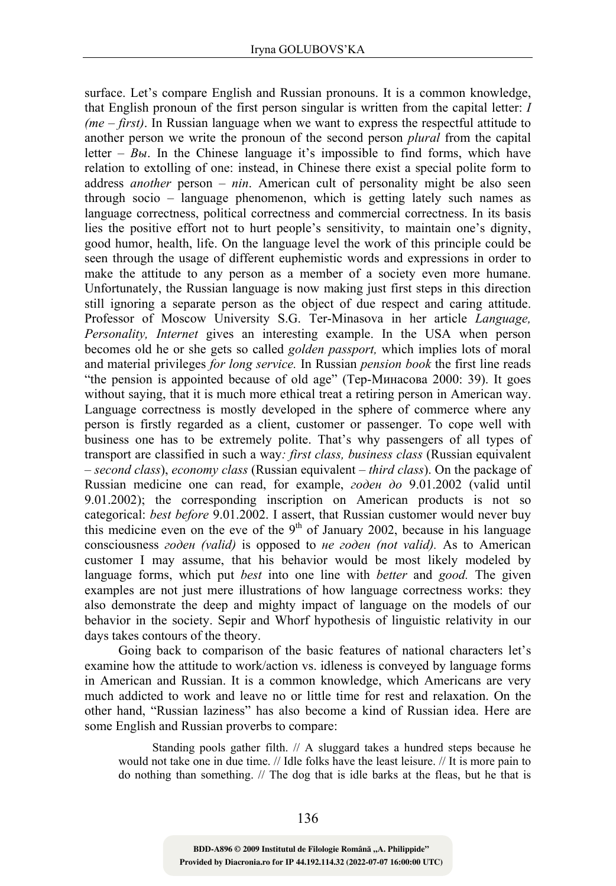surface. Let's compare English and Russian pronouns. It is a common knowledge, that English pronoun of the first person singular is written from the capital letter: *I (me – first)*. In Russian language when we want to express the respectful attitude to another person we write the pronoun of the second person *plural* from the capital letter – *Вы*. In the Chinese language it's impossible to find forms, which have relation to extolling of one: instead, in Chinese there exist a special polite form to address *another* person – *nin*. American cult of personality might be also seen through socio – language phenomenon, which is getting lately such names as language correctness, political correctness and commercial correctness. In its basis lies the positive effort not to hurt people's sensitivity, to maintain one's dignity, good humor, health, life. On the language level the work of this principle could be seen through the usage of different euphemistic words and expressions in order to make the attitude to any person as a member of a society even more humane. Unfortunately, the Russian language is now making just first steps in this direction still ignoring a separate person as the object of due respect and caring attitude. Professor of Moscow University S.G. Ter-Minasova in her article *Language, Personality, Internet* gives an interesting example. In the USA when person becomes old he or she gets so called *golden passport,* which implies lots of moral and material privileges *for long service.* In Russian *pension book* the first line reads "the pension is appointed because of old age" (Тер-Минасова 2000: 39). It goes without saying, that it is much more ethical treat a retiring person in American way. Language correctness is mostly developed in the sphere of commerce where any person is firstly regarded as a client, customer or passenger. To cope well with business one has to be extremely polite. That's why passengers of all types of transport are classified in such a way*: first class, business class* (Russian equivalent – *second class*), *economy class* (Russian equivalent – *third class*). On the package of Russian medicine one can read, for example, *годен до* 9.01.2002 (valid until 9.01.2002); the corresponding inscription on American products is not so categorical: *best before* 9.01.2002. I assert, that Russian customer would never buy this medicine even on the eve of the  $9<sup>th</sup>$  of January 2002, because in his language consciousness *годен (valid)* is opposed to *не годен (not valid).* As to American customer I may assume, that his behavior would be most likely modeled by language forms, which put *best* into one line with *better* and *good.* The given examples are not just mere illustrations of how language correctness works: they also demonstrate the deep and mighty impact of language on the models of our behavior in the society. Sepir and Whorf hypothesis of linguistic relativity in our days takes contours of the theory.

Going back to comparison of the basic features of national characters let's examine how the attitude to work/action vs. idleness is conveyed by language forms in American and Russian. It is a common knowledge, which Americans are very much addicted to work and leave no or little time for rest and relaxation. On the other hand, "Russian laziness" has also become a kind of Russian idea. Here are some English and Russian proverbs to compare:

Standing pools gather filth. // A sluggard takes a hundred steps because he would not take one in due time. // Idle folks have the least leisure. // It is more pain to do nothing than something. // The dog that is idle barks at the fleas, but he that is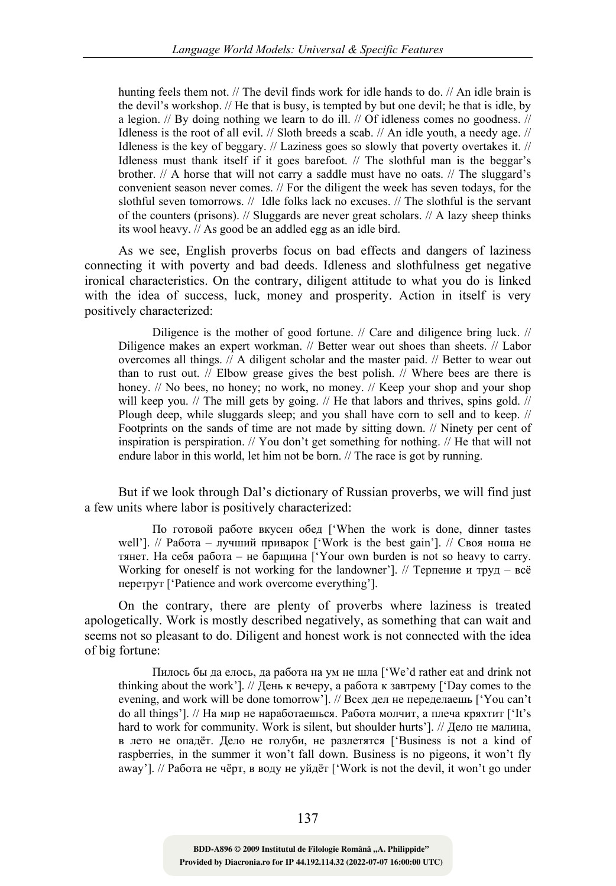hunting feels them not. // The devil finds work for idle hands to do. // An idle brain is the devil's workshop. // He that is busy, is tempted by but one devil; he that is idle, by a legion. // By doing nothing we learn to do ill. // Of idleness comes no goodness. // Idleness is the root of all evil. // Sloth breeds a scab. // An idle youth, a needy age. // Idleness is the key of beggary. // Laziness goes so slowly that poverty overtakes it. // Idleness must thank itself if it goes barefoot. // The slothful man is the beggar's brother. // A horse that will not carry a saddle must have no oats. // The sluggard's convenient season never comes. // For the diligent the week has seven todays, for the slothful seven tomorrows. // Idle folks lack no excuses. // The slothful is the servant of the counters (prisons). // Sluggards are never great scholars. // A lazy sheep thinks its wool heavy. // As good be an addled egg as an idle bird.

As we see, English proverbs focus on bad effects and dangers of laziness connecting it with poverty and bad deeds. Idleness and slothfulness get negative ironical characteristics. On the contrary, diligent attitude to what you do is linked with the idea of success, luck, money and prosperity. Action in itself is very positively characterized:

Diligence is the mother of good fortune. // Care and diligence bring luck. // Diligence makes an expert workman. // Better wear out shoes than sheets. // Labor overcomes all things. // A diligent scholar and the master paid. // Better to wear out than to rust out. // Elbow grease gives the best polish. // Where bees are there is honey. // No bees, no honey; no work, no money. // Keep your shop and your shop will keep you. // The mill gets by going. // He that labors and thrives, spins gold. // Plough deep, while sluggards sleep; and you shall have corn to sell and to keep. // Footprints on the sands of time are not made by sitting down. // Ninety per cent of inspiration is perspiration. // You don't get something for nothing. // He that will not endure labor in this world, let him not be born. // The race is got by running.

But if we look through Dal's dictionary of Russian proverbs, we will find just a few units where labor is positively characterized:

По готовой работе вкусен обед ['When the work is done, dinner tastes well']. // Работа – лучший приварок ['Work is the best gain']. // Своя ноша не тянет. На себя работа – не барщина ['Your own burden is not so heavy to carry. Working for oneself is not working for the landowner']. // Терпение и труд – всё перетрут ['Patience and work overcome everything'].

On the contrary, there are plenty of proverbs where laziness is treated apologetically. Work is mostly described negatively, as something that can wait and seems not so pleasant to do. Diligent and honest work is not connected with the idea of big fortune:

Пилось бы да елось, да работа на ум не шла ['We'd rather eat and drink not thinking about the work']. // День к вечеру, а работа к завтрему ['Day comes to the evening, and work will be done tomorrow']. // Всех дел не переделаешь ['You can't do all things']. // На мир не наработаешься. Работа молчит, а плеча кряхтит ['It's hard to work for community. Work is silent, but shoulder hurts']. // Дело не малина, в лето не опадёт. Дело не голуби, не разлетятся ['Business is not a kind of raspberries, in the summer it won't fall down. Business is no pigeons, it won't fly away']. // Работа не чёрт, в воду не уйдёт ['Work is not the devil, it won't go under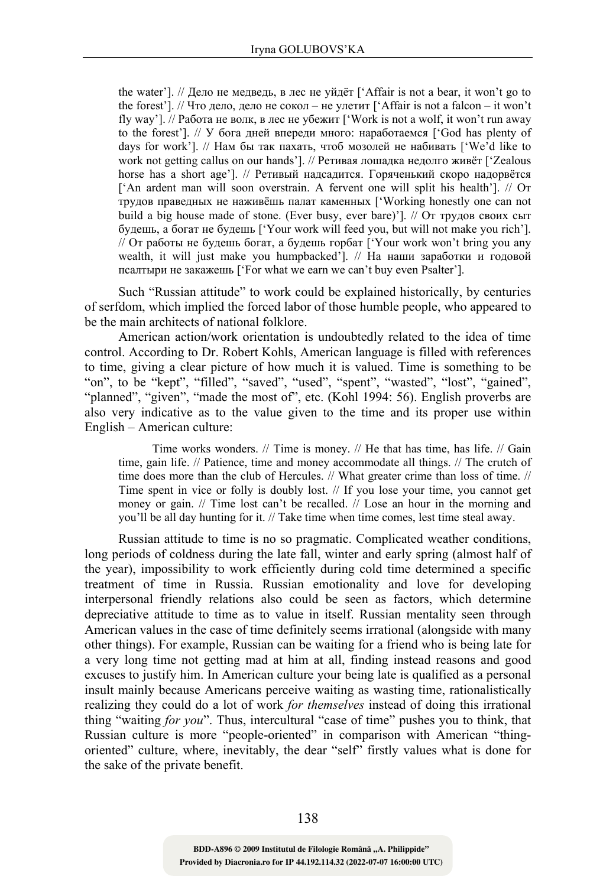the water']. // Дело не медведь, в лес не уйдёт ['Affair is not a bear, it won't go to the forest']. // Что дело, дело не сокол – не улетит ['Affair is not a falcon – it won't fly way']. // Работа не волк, в лес не убежит ['Work is not a wolf, it won't run away to the forest']. // У бога дней впереди много: наработаемся ['God has plenty of days for work']. // Нам бы так пахать, чтоб мозолей не набивать ['We'd like to work not getting callus on our hands']. // Ретивая лошадка недолго живёт ['Zealous horse has a short age']. // Ретивый надсадится. Горяченький скоро надорвётся ['An ardent man will soon overstrain. A fervent one will split his health']. // От трудов праведных не наживёшь палат каменных ['Working honestly one can not build a big house made of stone. (Ever busy, ever bare)']. // От трудов своих сыт будешь, а богат не будешь ['Your work will feed you, but will not make you rich']. // От работы не будешь богат, а будешь горбат ['Your work won't bring you any wealth, it will just make you humpbacked']. // На наши заработки и годовой псалтыри не закажешь ['For what we earn we can't buy even Psalter'].

Such "Russian attitude" to work could be explained historically, by centuries of serfdom, which implied the forced labor of those humble people, who appeared to be the main architects of national folklore.

American action/work orientation is undoubtedly related to the idea of time control. According to Dr. Robert Kohls, American language is filled with references to time, giving a clear picture of how much it is valued. Time is something to be "on", to be "kept", "filled", "saved", "used", "spent", "wasted", "lost", "gained", "planned", "given", "made the most of", etc. (Kohl 1994: 56). English proverbs are also very indicative as to the value given to the time and its proper use within English – American culture:

Time works wonders. // Time is money. // He that has time, has life. // Gain time, gain life. // Patience, time and money accommodate all things. // The crutch of time does more than the club of Hercules. // What greater crime than loss of time. // Time spent in vice or folly is doubly lost. // If you lose your time, you cannot get money or gain. // Time lost can't be recalled. // Lose an hour in the morning and you'll be all day hunting for it. // Take time when time comes, lest time steal away.

Russian attitude to time is no so pragmatic. Complicated weather conditions, long periods of coldness during the late fall, winter and early spring (almost half of the year), impossibility to work efficiently during cold time determined a specific treatment of time in Russia. Russian emotionality and love for developing interpersonal friendly relations also could be seen as factors, which determine depreciative attitude to time as to value in itself. Russian mentality seen through American values in the case of time definitely seems irrational (alongside with many other things). For example, Russian can be waiting for a friend who is being late for a very long time not getting mad at him at all, finding instead reasons and good excuses to justify him. In American culture your being late is qualified as a personal insult mainly because Americans perceive waiting as wasting time, rationalistically realizing they could do a lot of work *for themselves* instead of doing this irrational thing "waiting *for you*". Thus, intercultural "case of time" pushes you to think, that Russian culture is more "people-oriented" in comparison with American "thingoriented" culture, where, inevitably, the dear "self" firstly values what is done for the sake of the private benefit.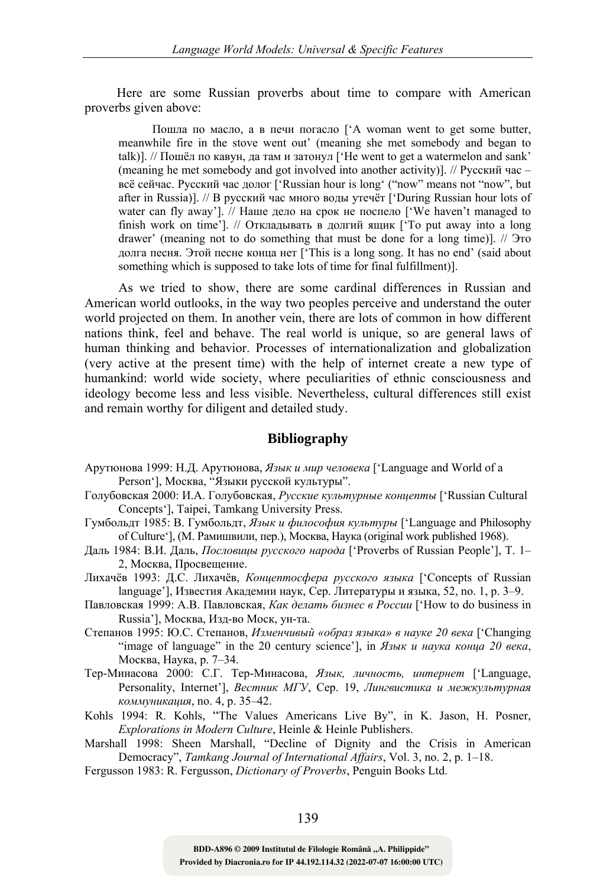Here are some Russian proverbs about time to compare with American proverbs given above:

Пошла по масло, а в печи погасло ['A woman went to get some butter, meanwhile fire in the stove went out' (meaning she met somebody and began to talk)]. // Пошёл по кавун, да там и затонул ['He went to get a watermelon and sank' (meaning he met somebody and got involved into another activity)]. // Русский час – всё сейчас. Русский час долог ['Russian hour is long' ("now" means not "now", but after in Russia)]. // В русский час много воды утечёт ['During Russian hour lots of water can fly away']. // Наше дело на срок не поспело ['We haven't managed to finish work on time']. // Откладывать в долгий ящик ['To put away into a long drawer' (meaning not to do something that must be done for a long time)]. // Это долга песня. Этой песне конца нет ['This is a long song. It has no end' (said about something which is supposed to take lots of time for final fulfillment)].

As we tried to show, there are some cardinal differences in Russian and American world outlooks, in the way two peoples perceive and understand the outer world projected on them. In another vein, there are lots of common in how different nations think, feel and behave. The real world is unique, so are general laws of human thinking and behavior. Processes of internationalization and globalization (very active at the present time) with the help of internet create a new type of humankind: world wide society, where peculiarities of ethnic consciousness and ideology become less and less visible. Nevertheless, cultural differences still exist and remain worthy for diligent and detailed study.

## **Bibliography**

- Арутюнова 1999: Н.Д. Арутюнова, *Язык и мир человека* ['Language and World of a Person'], Москва, "Языки русской культуры".
- Голубовская 2000: И.А. Голубовская, *Русские культурные концепты* ['Russian Cultural Concepts'], Taipei, Tamkang University Press.
- Гумбольдт 1985: В. Гумбольдт, *Язык и философия культуры* ['Language and Philosophy of Culture'], (М. Рамишвили, пер.), Москва, Наука (original work published 1968).
- Даль 1984: В.И. Даль, *Пословицы русского народа* ['Proverbs of Russian People'], Т. 1– 2, Москва, Просвещение.
- Лихачёв 1993: Д.С. Лихачёв, *Концептосфера русского языка* ['Concepts of Russian language'], Известия Академии наук, Сер. Литературы и языка, 52, no. 1, p. 3–9.
- Павловская 1999: А.В. Павловская, *Как делать бизнес в России* ['How to do business in Russia'], Москва, Изд-во Моск, ун-та.
- Степанов 1995: Ю.С. Степанов, *Изменчивый «образ языка» в науке 20 века* ['Changing "image of language" in the 20 century science'], in *Язык и наука конца 20 века*, Москва, Наука, p. 7–34.
- Тер-Минасова 2000: С.Г. Тер-Минасова, *Язык, личность, интернет* ['Language, Personality, Internet'], *Вестник МГУ*, Сер. 19, *Лингвистика и межкультурная коммуникация*, no. 4, p. 35–42.
- Kohls 1994: R. Kohls, "The Values Americans Live By", in K. Jason, H. Posner, *Explorations in Modern Culture*, Heinle & Heinle Publishers.
- Marshall 1998: Sheen Marshall, "Decline of Dignity and the Crisis in American Democracy", *Tamkang Journal of International Affairs*, Vol. 3, no. 2, p. 1–18.
- Fergusson 1983: R. Fergusson, *Dictionary of Proverbs*, Penguin Books Ltd.